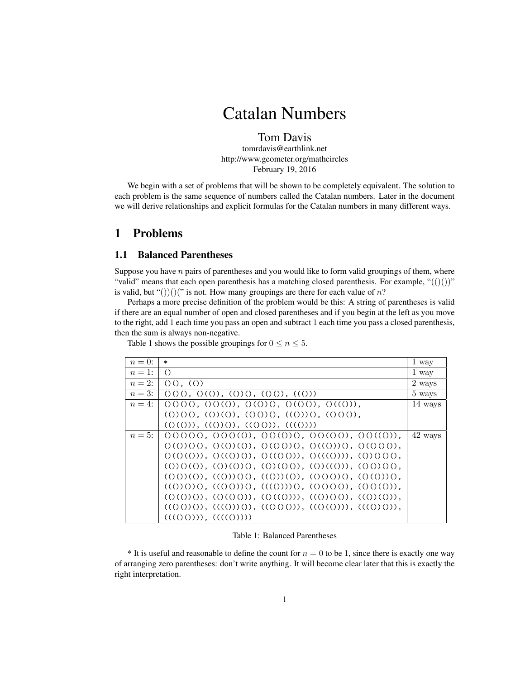# Catalan Numbers

Tom Davis tomrdavis@earthlink.net http://www.geometer.org/mathcircles February 19, 2016

We begin with a set of problems that will be shown to be completely equivalent. The solution to each problem is the same sequence of numbers called the Catalan numbers. Later in the document we will derive relationships and explicit formulas for the Catalan numbers in many different ways.

# 1 Problems

## 1.1 Balanced Parentheses

Suppose you have  $n$  pairs of parentheses and you would like to form valid groupings of them, where "valid" means that each open parenthesis has a matching closed parenthesis. For example, " $(())$ " is valid, but "())()(" is not. How many groupings are there for each value of  $n$ ?

Perhaps a more precise definition of the problem would be this: A string of parentheses is valid if there are an equal number of open and closed parentheses and if you begin at the left as you move to the right, add 1 each time you pass an open and subtract 1 each time you pass a closed parenthesis, then the sum is always non-negative.

Table 1 shows the possible groupings for  $0 \le n \le 5$ .

| $n=0$ : | $\ast$                                                                                                                                                                                                                         | 1 way   |
|---------|--------------------------------------------------------------------------------------------------------------------------------------------------------------------------------------------------------------------------------|---------|
| $n=1$ : | $\circ$                                                                                                                                                                                                                        | 1 way   |
| $n=2$ : | ( ) ( ) , ( ( ))                                                                                                                                                                                                               | 2 ways  |
| $n=3$ : |                                                                                                                                                                                                                                | 5 ways  |
| $n=4$ : | $(0000, 0000), (0000, 0000), (0000), (0000),$                                                                                                                                                                                  | 14 ways |
|         | $(0,0)$ $(0,0)$ $(0,0)$ $(0,0)$ $(0,0)$ $(0,0)$ $(0,0)$ $(0,0)$ $(0,0)$ $(0,0)$ $(0,0)$ $(0,0)$ $(0,0)$ $(0,0)$ $(0,0)$ $(0,0)$ $(0,0)$ $(0,0)$ $(0,0)$ $(0,0)$ $(0,0)$ $(0,0)$ $(0,0)$ $(0,0)$ $(0,0)$ $(0,0)$ $(0,0)$ $(0,0$ |         |
|         | $((\mathcal{C})(\mathcal{C}))$ , $((\mathcal{C})(\mathcal{C}))$ , $((\mathcal{C})(\mathcal{C}))$ , $((\mathcal{C})(\mathcal{C}))$                                                                                              |         |
| $n=5$ : | $(00000, 00000), 00000)$ , $(00000, 00000), 00000)$                                                                                                                                                                            | 42 ways |
|         | $O(O) O O, O(O)(O), O(O O) O, O((O)) O, O(O O) O$                                                                                                                                                                              |         |
|         | $O(O(O)))$ , $O((O)O)$ , $O((O O))$ , $O(((O)))$ , $(O)(O O)$ ,                                                                                                                                                                |         |
|         | $(0)(0)(0), (0)(0)(0), (0)(0)(0), (0)(0)(0), (0)(0)(0,$                                                                                                                                                                        |         |
|         | $(0,0)(0), (0,0)(0), (0,0)(0), (0,0)(0), (0,0)(0),$                                                                                                                                                                            |         |
|         | $((0)(0)(0), ((0)(0)))(0, ((0)(0)(0), ((0)(0)(0))),$                                                                                                                                                                           |         |
|         | $(0(0)(0), (0(0(0))), (0(0(0))), (0(0)(0)), (0(0)(0)),$                                                                                                                                                                        |         |
|         | $((()())())$ , $(((()))())$ , $((()()())$ ), $(((()))())$ , $(((()))())$ ,                                                                                                                                                     |         |
|         | $(((())))$ , $(((()))))$                                                                                                                                                                                                       |         |

#### Table 1: Balanced Parentheses

 $*$  It is useful and reasonable to define the count for  $n = 0$  to be 1, since there is exactly one way of arranging zero parentheses: don't write anything. It will become clear later that this is exactly the right interpretation.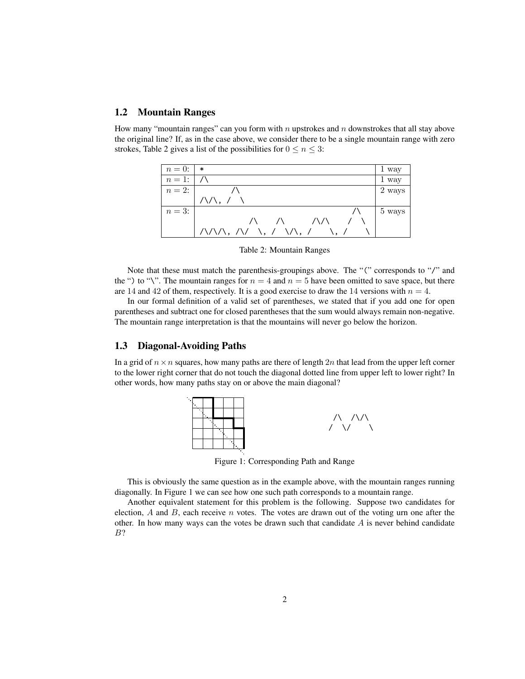# 1.2 Mountain Ranges

How many "mountain ranges" can you form with n upstrokes and  $n$  downstrokes that all stay above the original line? If, as in the case above, we consider there to be a single mountain range with zero strokes, Table 2 gives a list of the possibilities for  $0 \le n \le 3$ :

| $n=0$ :    | ∗                                                                             | 1 way  |
|------------|-------------------------------------------------------------------------------|--------|
| $n=1:$     |                                                                               | 1 way  |
| $n = 2: 1$ |                                                                               | 2 ways |
|            | $\wedge\wedge$ , /                                                            |        |
| $n=3$ :    |                                                                               | 5 ways |
|            | $\sqrt{2}$<br>$\sqrt{1}$                                                      |        |
|            | $\Lambda/\Lambda/\Lambda$ , $\Lambda/\Lambda$ , $\Lambda/\Lambda$ , $\Lambda$ |        |

Table 2: Mountain Ranges

Note that these must match the parenthesis-groupings above. The "(" corresponds to "/" and the ") to "\". The mountain ranges for  $n = 4$  and  $n = 5$  have been omitted to save space, but there are 14 and 42 of them, respectively. It is a good exercise to draw the 14 versions with  $n = 4$ .

In our formal definition of a valid set of parentheses, we stated that if you add one for open parentheses and subtract one for closed parentheses that the sum would always remain non-negative. The mountain range interpretation is that the mountains will never go below the horizon.

#### 1.3 Diagonal-Avoiding Paths

In a grid of  $n \times n$  squares, how many paths are there of length 2n that lead from the upper left corner to the lower right corner that do not touch the diagonal dotted line from upper left to lower right? In other words, how many paths stay on or above the main diagonal?



Figure 1: Corresponding Path and Range

This is obviously the same question as in the example above, with the mountain ranges running diagonally. In Figure 1 we can see how one such path corresponds to a mountain range.

Another equivalent statement for this problem is the following. Suppose two candidates for election,  $A$  and  $B$ , each receive  $n$  votes. The votes are drawn out of the voting urn one after the other. In how many ways can the votes be drawn such that candidate  $A$  is never behind candidate B?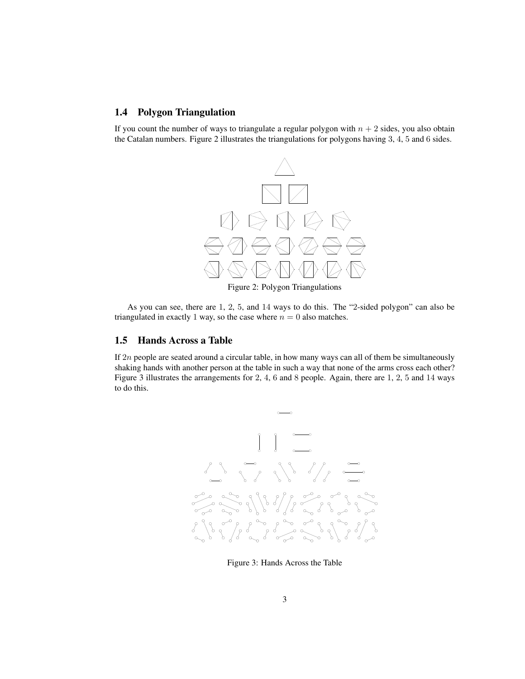## 1.4 Polygon Triangulation

If you count the number of ways to triangulate a regular polygon with  $n + 2$  sides, you also obtain the Catalan numbers. Figure 2 illustrates the triangulations for polygons having 3, 4, 5 and 6 sides.



As you can see, there are 1, 2, 5, and 14 ways to do this. The "2-sided polygon" can also be

triangulated in exactly 1 way, so the case where  $n = 0$  also matches.

#### 1.5 Hands Across a Table

If  $2n$  people are seated around a circular table, in how many ways can all of them be simultaneously shaking hands with another person at the table in such a way that none of the arms cross each other? Figure 3 illustrates the arrangements for 2, 4, 6 and 8 people. Again, there are 1, 2, 5 and 14 ways to do this.



Figure 3: Hands Across the Table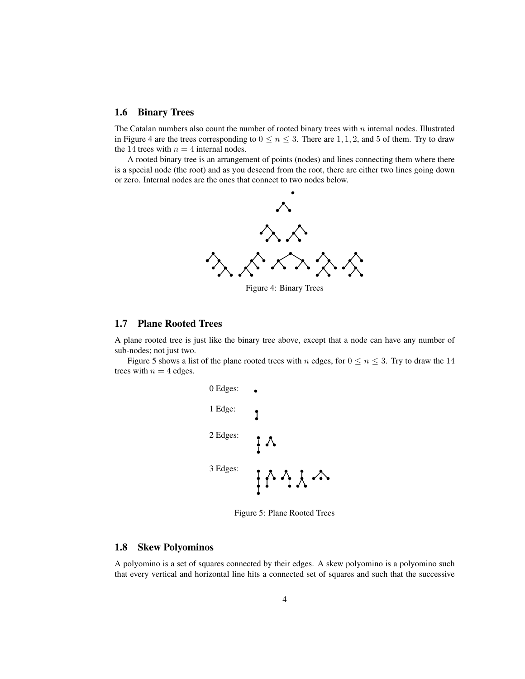## 1.6 Binary Trees

The Catalan numbers also count the number of rooted binary trees with  $n$  internal nodes. Illustrated in Figure 4 are the trees corresponding to  $0 \le n \le 3$ . There are 1, 1, 2, and 5 of them. Try to draw the 14 trees with  $n = 4$  internal nodes.

A rooted binary tree is an arrangement of points (nodes) and lines connecting them where there is a special node (the root) and as you descend from the root, there are either two lines going down or zero. Internal nodes are the ones that connect to two nodes below.

b



Figure 4: Binary Trees

#### 1.7 Plane Rooted Trees

A plane rooted tree is just like the binary tree above, except that a node can have any number of sub-nodes; not just two.

Figure 5 shows a list of the plane rooted trees with n edges, for  $0 \le n \le 3$ . Try to draw the 14 trees with  $n = 4$  edges.



Figure 5: Plane Rooted Trees

## 1.8 Skew Polyominos

A polyomino is a set of squares connected by their edges. A skew polyomino is a polyomino such that every vertical and horizontal line hits a connected set of squares and such that the successive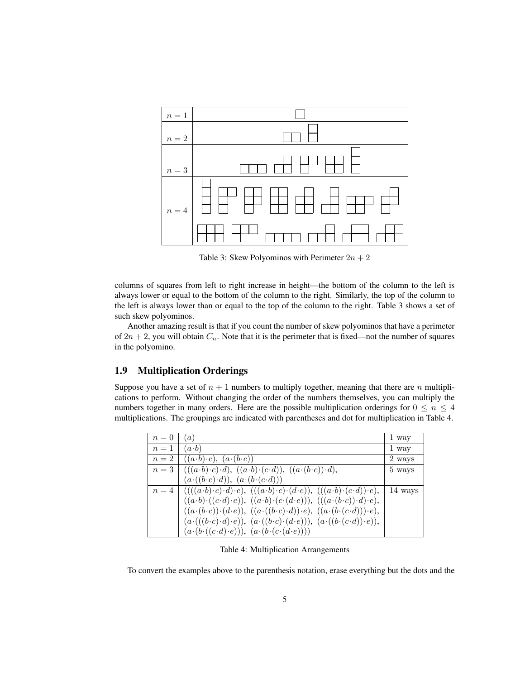

Table 3: Skew Polyominos with Perimeter  $2n + 2$ 

columns of squares from left to right increase in height—the bottom of the column to the left is always lower or equal to the bottom of the column to the right. Similarly, the top of the column to the left is always lower than or equal to the top of the column to the right. Table 3 shows a set of such skew polyominos.

Another amazing result is that if you count the number of skew polyominos that have a perimeter of  $2n + 2$ , you will obtain  $C_n$ . Note that it is the perimeter that is fixed—not the number of squares in the polyomino.

# 1.9 Multiplication Orderings

Suppose you have a set of  $n + 1$  numbers to multiply together, meaning that there are n multiplications to perform. Without changing the order of the numbers themselves, you can multiply the numbers together in many orders. Here are the possible multiplication orderings for  $0 \le n \le 4$ multiplications. The groupings are indicated with parentheses and dot for multiplication in Table 4.

| $n=0$ | $\alpha$ )                                                                                                                                                                                                                                                                                                      | 1 way   |
|-------|-----------------------------------------------------------------------------------------------------------------------------------------------------------------------------------------------------------------------------------------------------------------------------------------------------------------|---------|
| $n=1$ | $(a \cdot b)$                                                                                                                                                                                                                                                                                                   | 1 way   |
| $n=2$ | $((a \cdot b) \cdot c), (a \cdot (b \cdot c))$                                                                                                                                                                                                                                                                  | 2 ways  |
|       | $n=3$ $\mid ((a\cdot b)\cdot c)\cdot d), ((a\cdot b)\cdot (c\cdot d)), ((a\cdot (b\cdot c))\cdot d),$                                                                                                                                                                                                           | 5 ways  |
|       | $(a \cdot ((b \cdot c) \cdot d)), (a \cdot (b \cdot (c \cdot d)))$                                                                                                                                                                                                                                              |         |
|       | $n=4 \begin{array}{l} \big(((a \cdot b) \cdot c) \cdot d) \cdot e), \ ((a \cdot b) \cdot c) \cdot (d \cdot e)), \ ((a \cdot b) \cdot (c \cdot d)) \cdot e), \\ ((a \cdot b) \cdot ((c \cdot d) \cdot e)), \ ((a \cdot b) \cdot (c \cdot (d \cdot e))), \ ((a \cdot (b \cdot c)) \cdot d) \cdot e), \end{array}$ | 14 ways |
|       |                                                                                                                                                                                                                                                                                                                 |         |
|       | $((a \cdot (b \cdot c)) \cdot (d \cdot e)), ((a \cdot ((b \cdot c) \cdot d)) \cdot e), ((a \cdot (b \cdot (c \cdot d))) \cdot e),$                                                                                                                                                                              |         |
|       | $(a \cdot (( (b \cdot c) \cdot d) \cdot e)), (a \cdot ((b \cdot c) \cdot (d \cdot e))), (a \cdot ((b \cdot (c \cdot d)) \cdot e)),$                                                                                                                                                                             |         |
|       | $(a \cdot (b \cdot ((c \cdot d) \cdot e)))$ , $(a \cdot (b \cdot (c \cdot (d \cdot e)))$                                                                                                                                                                                                                        |         |

Table 4: Multiplication Arrangements

To convert the examples above to the parenthesis notation, erase everything but the dots and the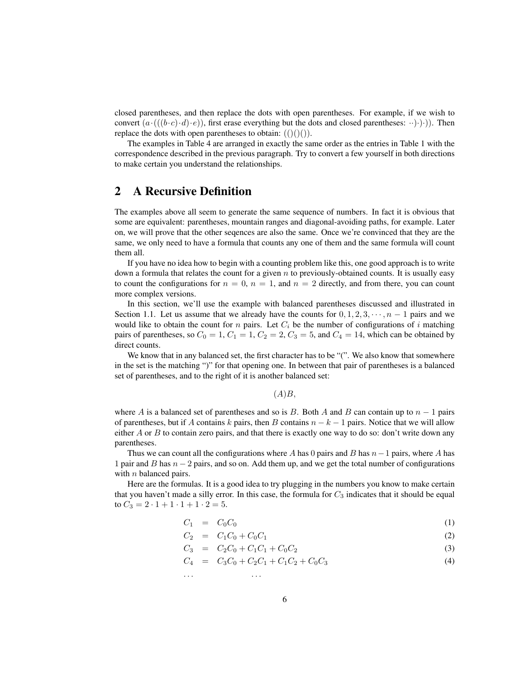closed parentheses, and then replace the dots with open parentheses. For example, if we wish to convert  $(a \cdot ((b \cdot c) \cdot d) \cdot e)$ , first erase everything but the dots and closed parentheses:  $\cdot \cdot \cdot) \cdot$ ). Then replace the dots with open parentheses to obtain:  $(()())$ .

The examples in Table 4 are arranged in exactly the same order as the entries in Table 1 with the correspondence described in the previous paragraph. Try to convert a few yourself in both directions to make certain you understand the relationships.

# 2 A Recursive Definition

The examples above all seem to generate the same sequence of numbers. In fact it is obvious that some are equivalent: parentheses, mountain ranges and diagonal-avoiding paths, for example. Later on, we will prove that the other seqences are also the same. Once we're convinced that they are the same, we only need to have a formula that counts any one of them and the same formula will count them all.

If you have no idea how to begin with a counting problem like this, one good approach is to write down a formula that relates the count for a given  $n$  to previously-obtained counts. It is usually easy to count the configurations for  $n = 0$ ,  $n = 1$ , and  $n = 2$  directly, and from there, you can count more complex versions.

In this section, we'll use the example with balanced parentheses discussed and illustrated in Section 1.1. Let us assume that we already have the counts for  $0, 1, 2, 3, \dots, n - 1$  pairs and we would like to obtain the count for  $n$  pairs. Let  $C_i$  be the number of configurations of  $i$  matching pairs of parentheses, so  $C_0 = 1$ ,  $C_1 = 1$ ,  $C_2 = 2$ ,  $C_3 = 5$ , and  $C_4 = 14$ , which can be obtained by direct counts.

We know that in any balanced set, the first character has to be "(". We also know that somewhere in the set is the matching ")" for that opening one. In between that pair of parentheses is a balanced set of parentheses, and to the right of it is another balanced set:

#### $(A)B$ ,

where A is a balanced set of parentheses and so is B. Both A and B can contain up to  $n - 1$  pairs of parentheses, but if A contains k pairs, then B contains  $n - k - 1$  pairs. Notice that we will allow either  $A$  or  $B$  to contain zero pairs, and that there is exactly one way to do so: don't write down any parentheses.

Thus we can count all the configurations where A has 0 pairs and B has  $n-1$  pairs, where A has 1 pair and B has  $n-2$  pairs, and so on. Add them up, and we get the total number of configurations with  $n$  balanced pairs.

Here are the formulas. It is a good idea to try plugging in the numbers you know to make certain that you haven't made a silly error. In this case, the formula for  $C_3$  indicates that it should be equal to  $C_3 = 2 \cdot 1 + 1 \cdot 1 + 1 \cdot 2 = 5$ .

$$
C_1 = C_0 C_0 \tag{1}
$$

$$
C_2 = C_1 C_0 + C_0 C_1 \tag{2}
$$

$$
C_3 = C_2 C_0 + C_1 C_1 + C_0 C_2 \tag{3}
$$

$$
C_4 = C_3 C_0 + C_2 C_1 + C_1 C_2 + C_0 C_3 \tag{4}
$$

. . . . . .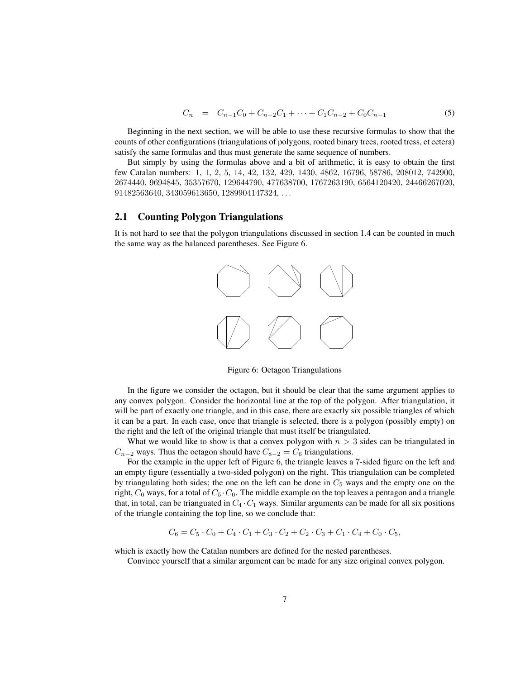$$
C_n = C_{n-1}C_0 + C_{n-2}C_1 + \dots + C_1C_{n-2} + C_0C_{n-1}
$$
\n(5)

Beginning in the next section, we will be able to use these recursive formulas to show that the counts of other configurations (triangulations of polygons, rooted binary trees, rooted tress, et cetera) satisfy the same formulas and thus must generate the same sequence of numbers.

But simply by using the formulas above and a bit of arithmetic, it is easy to obtain the first few Catalan numbers: 1, 1, 2, 5, 14, 42, 132, 429, 1430, 4862, 16796, 58786, 208012, 742900, 2674440, 9694845, 35357670, 129644790, 477638700, 1767263190, 6564120420, 24466267020, 91482563640, 343059613650, 1289904147324, . . .

#### 2.1 Counting Polygon Triangulations

It is not hard to see that the polygon triangulations discussed in section 1.4 can be counted in much the same way as the balanced parentheses. See Figure 6.



Figure 6: Octagon Triangulations

In the figure we consider the octagon, but it should be clear that the same argument applies to any convex polygon. Consider the horizontal line at the top of the polygon. After triangulation, it will be part of exactly one triangle, and in this case, there are exactly six possible triangles of which it can be a part. In each case, once that triangle is selected, there is a polygon (possibly empty) on the right and the left of the original triangle that must itself be triangulated.

What we would like to show is that a convex polygon with  $n > 3$  sides can be triangulated in  $C_{n-2}$  ways. Thus the octagon should have  $C_{8-2} = C_6$  triangulations.

For the example in the upper left of Figure 6, the triangle leaves a 7-sided figure on the left and an empty figure (essentially a two-sided polygon) on the right. This triangulation can be completed by triangulating both sides; the one on the left can be done in  $C_5$  ways and the empty one on the right,  $C_0$  ways, for a total of  $C_5 \cdot C_0$ . The middle example on the top leaves a pentagon and a triangle that, in total, can be trianguated in  $C_4 \cdot C_1$  ways. Similar arguments can be made for all six positions of the triangle containing the top line, so we conclude that:

$$
C_6 = C_5 \cdot C_0 + C_4 \cdot C_1 + C_3 \cdot C_2 + C_2 \cdot C_3 + C_1 \cdot C_4 + C_0 \cdot C_5,
$$

which is exactly how the Catalan numbers are defined for the nested parentheses.

Convince yourself that a similar argument can be made for any size original convex polygon.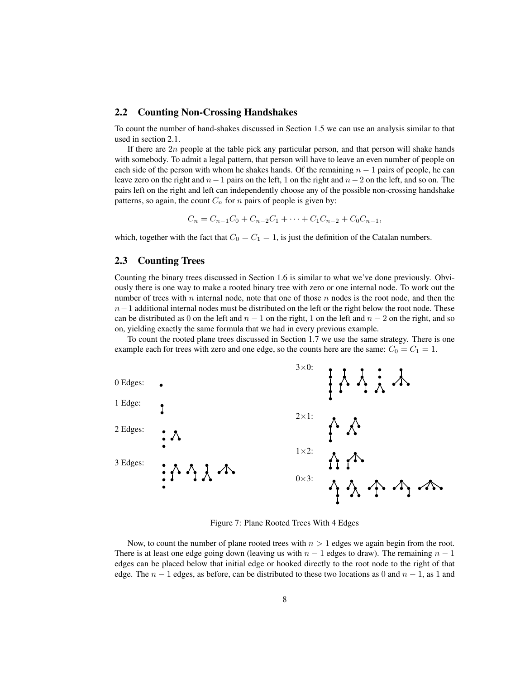#### 2.2 Counting Non-Crossing Handshakes

To count the number of hand-shakes discussed in Section 1.5 we can use an analysis similar to that used in section 2.1.

If there are  $2n$  people at the table pick any particular person, and that person will shake hands with somebody. To admit a legal pattern, that person will have to leave an even number of people on each side of the person with whom he shakes hands. Of the remaining  $n - 1$  pairs of people, he can leave zero on the right and  $n-1$  pairs on the left, 1 on the right and  $n-2$  on the left, and so on. The pairs left on the right and left can independently choose any of the possible non-crossing handshake patterns, so again, the count  $C_n$  for n pairs of people is given by:

$$
C_n = C_{n-1}C_0 + C_{n-2}C_1 + \dots + C_1C_{n-2} + C_0C_{n-1},
$$

which, together with the fact that  $C_0 = C_1 = 1$ , is just the definition of the Catalan numbers.

## 2.3 Counting Trees

Counting the binary trees discussed in Section 1.6 is similar to what we've done previously. Obviously there is one way to make a rooted binary tree with zero or one internal node. To work out the number of trees with n internal node, note that one of those n nodes is the root node, and then the  $n-1$  additional internal nodes must be distributed on the left or the right below the root node. These can be distributed as 0 on the left and  $n - 1$  on the right, 1 on the left and  $n - 2$  on the right, and so on, yielding exactly the same formula that we had in every previous example.

To count the rooted plane trees discussed in Section 1.7 we use the same strategy. There is one example each for trees with zero and one edge, so the counts here are the same:  $C_0 = C_1 = 1$ .



Figure 7: Plane Rooted Trees With 4 Edges

Now, to count the number of plane rooted trees with  $n > 1$  edges we again begin from the root. There is at least one edge going down (leaving us with  $n - 1$  edges to draw). The remaining  $n - 1$ edges can be placed below that initial edge or hooked directly to the root node to the right of that edge. The  $n - 1$  edges, as before, can be distributed to these two locations as 0 and  $n - 1$ , as 1 and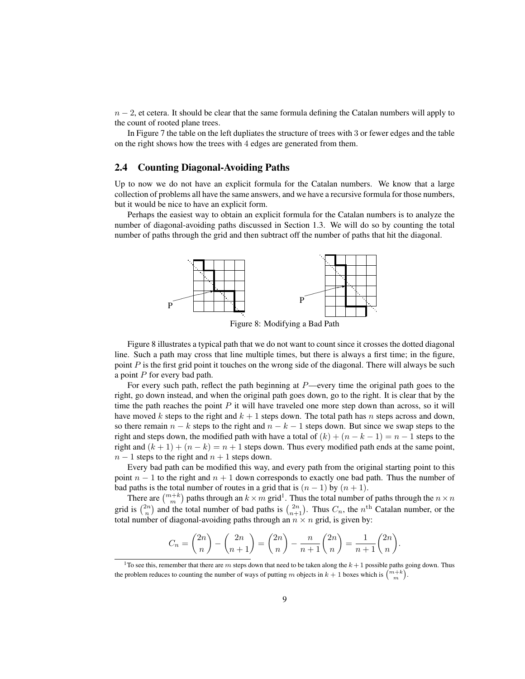$n-2$ , et cetera. It should be clear that the same formula defining the Catalan numbers will apply to the count of rooted plane trees.

In Figure 7 the table on the left dupliates the structure of trees with 3 or fewer edges and the table on the right shows how the trees with 4 edges are generated from them.

#### 2.4 Counting Diagonal-Avoiding Paths

Up to now we do not have an explicit formula for the Catalan numbers. We know that a large collection of problems all have the same answers, and we have a recursive formula for those numbers, but it would be nice to have an explicit form.

Perhaps the easiest way to obtain an explicit formula for the Catalan numbers is to analyze the number of diagonal-avoiding paths discussed in Section 1.3. We will do so by counting the total number of paths through the grid and then subtract off the number of paths that hit the diagonal.



Figure 8: Modifying a Bad Path

Figure 8 illustrates a typical path that we do not want to count since it crosses the dotted diagonal line. Such a path may cross that line multiple times, but there is always a first time; in the figure, point P is the first grid point it touches on the wrong side of the diagonal. There will always be such a point  $P$  for every bad path.

For every such path, reflect the path beginning at  $P$ —every time the original path goes to the right, go down instead, and when the original path goes down, go to the right. It is clear that by the time the path reaches the point  $P$  it will have traveled one more step down than across, so it will have moved k steps to the right and  $k + 1$  steps down. The total path has n steps across and down, so there remain  $n - k$  steps to the right and  $n - k - 1$  steps down. But since we swap steps to the right and steps down, the modified path with have a total of  $(k) + (n - k - 1) = n - 1$  steps to the right and  $(k + 1) + (n - k) = n + 1$  steps down. Thus every modified path ends at the same point,  $n-1$  steps to the right and  $n+1$  steps down.

Every bad path can be modified this way, and every path from the original starting point to this point  $n - 1$  to the right and  $n + 1$  down corresponds to exactly one bad path. Thus the number of bad paths is the total number of routes in a grid that is  $(n - 1)$  by  $(n + 1)$ .

There are  $\binom{m+k}{m}$  paths through an  $k \times m$  grid<sup>1</sup>. Thus the total number of paths through the  $n \times n$ grid is  $\binom{2n}{n}$  and the total number of bad paths is  $\binom{2n}{n+1}$ . Thus  $C_n$ , the  $n^{\text{th}}$  Catalan number, or the total number of diagonal-avoiding paths through an  $n \times n$  grid, is given by:

$$
C_n = \binom{2n}{n} - \binom{2n}{n+1} = \binom{2n}{n} - \frac{n}{n+1} \binom{2n}{n} = \frac{1}{n+1} \binom{2n}{n}.
$$

<sup>&</sup>lt;sup>1</sup>To see this, remember that there are m steps down that need to be taken along the  $k + 1$  possible paths going down. Thus the problem reduces to counting the number of ways of putting m objects in  $k + 1$  boxes which is  $\binom{m+k}{m}$ .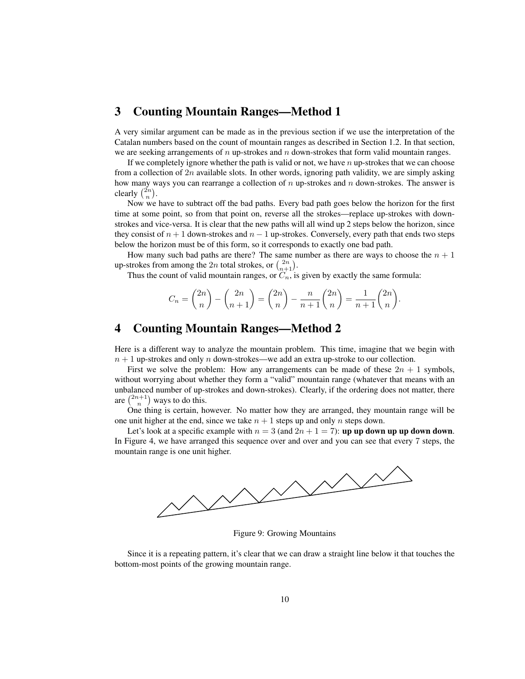# 3 Counting Mountain Ranges—Method 1

A very similar argument can be made as in the previous section if we use the interpretation of the Catalan numbers based on the count of mountain ranges as described in Section 1.2. In that section, we are seeking arrangements of n up-strokes and n down-strokes that form valid mountain ranges.

If we completely ignore whether the path is valid or not, we have  $n \text{ up-strokes that we can choose }$ from a collection of  $2n$  available slots. In other words, ignoring path validity, we are simply asking how many ways you can rearrange a collection of  $n$  up-strokes and  $n$  down-strokes. The answer is clearly  $\binom{2n}{n}$ .

Now we have to subtract off the bad paths. Every bad path goes below the horizon for the first time at some point, so from that point on, reverse all the strokes—replace up-strokes with downstrokes and vice-versa. It is clear that the new paths will all wind up 2 steps below the horizon, since they consist of  $n + 1$  down-strokes and  $n - 1$  up-strokes. Conversely, every path that ends two steps below the horizon must be of this form, so it corresponds to exactly one bad path.

How many such bad paths are there? The same number as there are ways to choose the  $n + 1$ up-strokes from among the 2n total strokes, or  $\binom{2n}{n+1}$ .

Thus the count of valid mountain ranges, or  $C_n$ , is given by exactly the same formula:

$$
C_n = \binom{2n}{n} - \binom{2n}{n+1} = \binom{2n}{n} - \frac{n}{n+1} \binom{2n}{n} = \frac{1}{n+1} \binom{2n}{n}.
$$

# 4 Counting Mountain Ranges—Method 2

Here is a different way to analyze the mountain problem. This time, imagine that we begin with  $n + 1$  up-strokes and only n down-strokes—we add an extra up-stroke to our collection.

First we solve the problem: How any arrangements can be made of these  $2n + 1$  symbols, without worrying about whether they form a "valid" mountain range (whatever that means with an unbalanced number of up-strokes and down-strokes). Clearly, if the ordering does not matter, there are  $\binom{2n+1}{n}$  ways to do this.

One thing is certain, however. No matter how they are arranged, they mountain range will be one unit higher at the end, since we take  $n + 1$  steps up and only n steps down.

Let's look at a specific example with  $n = 3$  (and  $2n + 1 = 7$ ): up up down up up down down. In Figure 4, we have arranged this sequence over and over and you can see that every 7 steps, the mountain range is one unit higher.



Figure 9: Growing Mountains

Since it is a repeating pattern, it's clear that we can draw a straight line below it that touches the bottom-most points of the growing mountain range.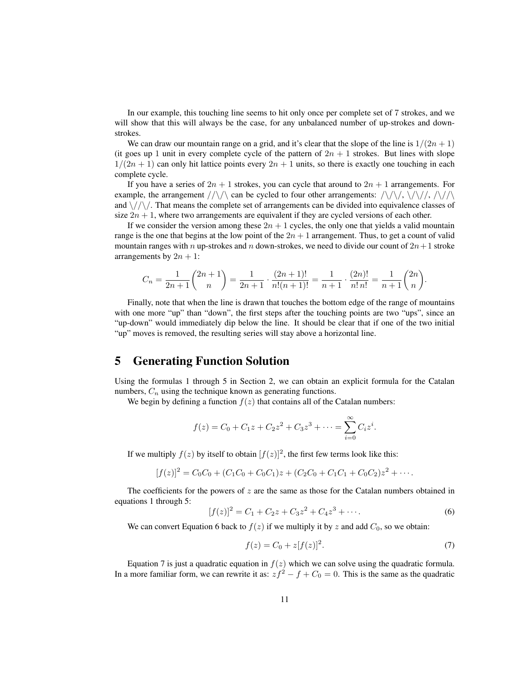In our example, this touching line seems to hit only once per complete set of 7 strokes, and we will show that this will always be the case, for any unbalanced number of up-strokes and downstrokes.

We can draw our mountain range on a grid, and it's clear that the slope of the line is  $1/(2n + 1)$ (it goes up 1 unit in every complete cycle of the pattern of  $2n + 1$  strokes. But lines with slope  $1/(2n+1)$  can only hit lattice points every  $2n+1$  units, so there is exactly one touching in each complete cycle.

If you have a series of  $2n + 1$  strokes, you can cycle that around to  $2n + 1$  arrangements. For example, the arrangement  $//\sqrt{\ }$  can be cycled to four other arrangements:  $/\sqrt{\ }/\sqrt{\ }$ ,  $/\sqrt{\ }/\sqrt{\ }$ and  $\sqrt{\frac{\sqrt{}}{}}$ . That means the complete set of arrangements can be divided into equivalence classes of size  $2n + 1$ , where two arrangements are equivalent if they are cycled versions of each other.

If we consider the version among these  $2n + 1$  cycles, the only one that yields a valid mountain range is the one that begins at the low point of the  $2n + 1$  arrangement. Thus, to get a count of valid mountain ranges with n up-strokes and n down-strokes, we need to divide our count of  $2n+1$  stroke arrangements by  $2n + 1$ :

$$
C_n = \frac{1}{2n+1} {2n+1 \choose n} = \frac{1}{2n+1} \cdot \frac{(2n+1)!}{n!(n+1)!} = \frac{1}{n+1} \cdot \frac{(2n)!}{n!n!} = \frac{1}{n+1} {2n \choose n}.
$$

Finally, note that when the line is drawn that touches the bottom edge of the range of mountains with one more "up" than "down", the first steps after the touching points are two "ups", since an "up-down" would immediately dip below the line. It should be clear that if one of the two initial "up" moves is removed, the resulting series will stay above a horizontal line.

# 5 Generating Function Solution

Using the formulas 1 through 5 in Section 2, we can obtain an explicit formula for the Catalan numbers,  $C_n$  using the technique known as generating functions.

We begin by defining a function  $f(z)$  that contains all of the Catalan numbers:

$$
f(z) = C_0 + C_1 z + C_2 z^2 + C_3 z^3 + \dots = \sum_{i=0}^{\infty} C_i z^i.
$$

If we multiply  $f(z)$  by itself to obtain  $[f(z)]^2$ , the first few terms look like this:

$$
[f(z)]^2 = C_0C_0 + (C_1C_0 + C_0C_1)z + (C_2C_0 + C_1C_1 + C_0C_2)z^2 + \cdots
$$

The coefficients for the powers of  $z$  are the same as those for the Catalan numbers obtained in equations 1 through 5:

$$
[f(z)]^2 = C_1 + C_2 z + C_3 z^2 + C_4 z^3 + \cdots
$$
 (6)

We can convert Equation 6 back to  $f(z)$  if we multiply it by z and add  $C_0$ , so we obtain:

$$
f(z) = C_0 + z[f(z)]^2.
$$
 (7)

Equation 7 is just a quadratic equation in  $f(z)$  which we can solve using the quadratic formula. In a more familiar form, we can rewrite it as:  $z f^2 - f + C_0 = 0$ . This is the same as the quadratic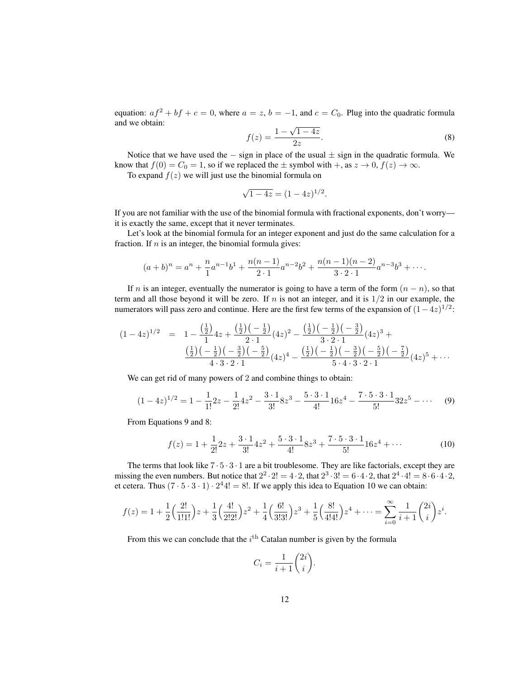equation:  $af^2 + bf + c = 0$ , where  $a = z$ ,  $b = -1$ , and  $c = C_0$ . Plug into the quadratic formula and we obtain:

$$
f(z) = \frac{1 - \sqrt{1 - 4z}}{2z}.
$$
 (8)

Notice that we have used the  $-$  sign in place of the usual  $\pm$  sign in the quadratic formula. We know that  $f(0) = C_0 = 1$ , so if we replaced the  $\pm$  symbol with  $+$ , as  $z \to 0$ ,  $f(z) \to \infty$ .

To expand  $f(z)$  we will just use the binomial formula on

$$
\sqrt{1-4z} = (1-4z)^{1/2}.
$$

If you are not familiar with the use of the binomial formula with fractional exponents, don't worry it is exactly the same, except that it never terminates.

Let's look at the binomial formula for an integer exponent and just do the same calculation for a fraction. If  $n$  is an integer, the binomial formula gives:

$$
(a+b)^n = a^n + \frac{n}{1}a^{n-1}b^1 + \frac{n(n-1)}{2 \cdot 1}a^{n-2}b^2 + \frac{n(n-1)(n-2)}{3 \cdot 2 \cdot 1}a^{n-3}b^3 + \cdots
$$

If n is an integer, eventually the numerator is going to have a term of the form  $(n - n)$ , so that term and all those beyond it will be zero. If n is not an integer, and it is  $1/2$  in our example, the numerators will pass zero and continue. Here are the first few terms of the expansion of  $(1-4z)^{1/2}$ :

$$
(1-4z)^{1/2} = 1 - \frac{\left(\frac{1}{2}\right)}{1}4z + \frac{\left(\frac{1}{2}\right)\left(-\frac{1}{2}\right)}{2\cdot 1}(4z)^2 - \frac{\left(\frac{1}{2}\right)\left(-\frac{1}{2}\right)\left(-\frac{3}{2}\right)}{3\cdot 2\cdot 1}(4z)^3 + \frac{\left(\frac{1}{2}\right)\left(-\frac{1}{2}\right)\left(-\frac{3}{2}\right)\left(-\frac{5}{2}\right)}{4\cdot 3\cdot 2\cdot 1}(4z)^4 - \frac{\left(\frac{1}{2}\right)\left(-\frac{1}{2}\right)\left(-\frac{3}{2}\right)\left(-\frac{5}{2}\right)\left(-\frac{7}{2}\right)}{5\cdot 4\cdot 3\cdot 2\cdot 1}(4z)^5 + \cdots
$$

We can get rid of many powers of 2 and combine things to obtain:

$$
(1-4z)^{1/2} = 1 - \frac{1}{1!}2z - \frac{1}{2!}4z^2 - \frac{3\cdot 1}{3!}8z^3 - \frac{5\cdot 3\cdot 1}{4!}16z^4 - \frac{7\cdot 5\cdot 3\cdot 1}{5!}32z^5 - \cdots
$$
 (9)

From Equations 9 and 8:

$$
f(z) = 1 + \frac{1}{2!}2z + \frac{3 \cdot 1}{3!}4z^2 + \frac{5 \cdot 3 \cdot 1}{4!}8z^3 + \frac{7 \cdot 5 \cdot 3 \cdot 1}{5!}16z^4 + \dots
$$
 (10)

The terms that look like  $7 \cdot 5 \cdot 3 \cdot 1$  are a bit troublesome. They are like factorials, except they are missing the even numbers. But notice that  $2^2 \cdot 2! = 4 \cdot 2$ , that  $2^3 \cdot 3! = 6 \cdot 4 \cdot 2$ , that  $2^4 \cdot 4! = 8 \cdot 6 \cdot 4 \cdot 2$ , et cetera. Thus  $(7 \cdot 5 \cdot 3 \cdot 1) \cdot 2^4 4! = 8!$ . If we apply this idea to Equation 10 we can obtain:

$$
f(z) = 1 + \frac{1}{2} \left( \frac{2!}{1!1!} \right) z + \frac{1}{3} \left( \frac{4!}{2!2!} \right) z^2 + \frac{1}{4} \left( \frac{6!}{3!3!} \right) z^3 + \frac{1}{5} \left( \frac{8!}{4!4!} \right) z^4 + \dots = \sum_{i=0}^{\infty} \frac{1}{i+1} \binom{2i}{i} z^i.
$$

From this we can conclude that the  $i^{\text{th}}$  Catalan number is given by the formula

$$
C_i = \frac{1}{i+1} \binom{2i}{i}.
$$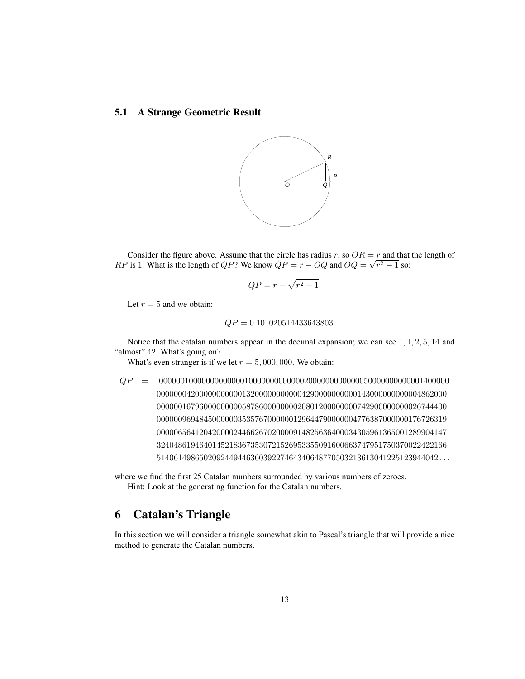# 5.1 A Strange Geometric Result



Consider the figure above. Assume that the circle has radius r, so  $OR = r$  and that the length of RP is 1. What is the length of QP? We know  $QP = r - OQ$  and  $OQ = \sqrt{r^2 - 1}$  so:

$$
QP = r - \sqrt{r^2 - 1}.
$$

Let  $r = 5$  and we obtain:

$$
QP = 0.101020514433643803...
$$

Notice that the catalan numbers appear in the decimal expansion; we can see  $1, 1, 2, 5, 14$  and "almost" 42. What's going on?

What's even stranger is if we let  $r = 5,000,000$ . We obtain:

QP = .00000010000000000000100000000000002000000000000050000000000001400000 00000004200000000000132000000000004290000000000143000000000004862000 00000016796000000000587860000000020801200000000742900000000026744400 00000096948450000003535767000000129644790000004776387000000176726319 00000656412042000024466267020000914825636400034305961365001289904147 32404861946401452183673530721526953355091600663747951750370022422166 514061498650209244944636039227464340648770503213613041225123944042 . . .

where we find the first 25 Catalan numbers surrounded by various numbers of zeroes. Hint: Look at the generating function for the Catalan numbers.

# 6 Catalan's Triangle

In this section we will consider a triangle somewhat akin to Pascal's triangle that will provide a nice method to generate the Catalan numbers.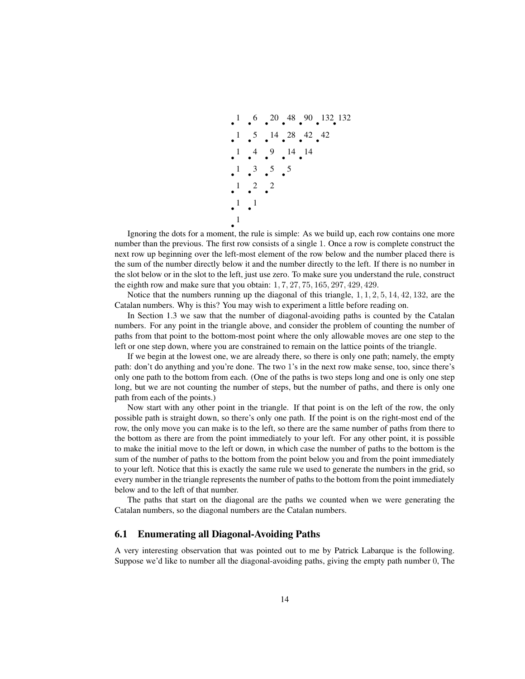

Ignoring the dots for a moment, the rule is simple: As we build up, each row contains one more number than the previous. The first row consists of a single 1. Once a row is complete construct the next row up beginning over the left-most element of the row below and the number placed there is the sum of the number directly below it and the number directly to the left. If there is no number in the slot below or in the slot to the left, just use zero. To make sure you understand the rule, construct the eighth row and make sure that you obtain:  $1, 7, 27, 75, 165, 297, 429, 429$ .

Notice that the numbers running up the diagonal of this triangle,  $1, 1, 2, 5, 14, 42, 132$ , are the Catalan numbers. Why is this? You may wish to experiment a little before reading on.

In Section 1.3 we saw that the number of diagonal-avoiding paths is counted by the Catalan numbers. For any point in the triangle above, and consider the problem of counting the number of paths from that point to the bottom-most point where the only allowable moves are one step to the left or one step down, where you are constrained to remain on the lattice points of the triangle.

If we begin at the lowest one, we are already there, so there is only one path; namely, the empty path: don't do anything and you're done. The two 1's in the next row make sense, too, since there's only one path to the bottom from each. (One of the paths is two steps long and one is only one step long, but we are not counting the number of steps, but the number of paths, and there is only one path from each of the points.)

Now start with any other point in the triangle. If that point is on the left of the row, the only possible path is straight down, so there's only one path. If the point is on the right-most end of the row, the only move you can make is to the left, so there are the same number of paths from there to the bottom as there are from the point immediately to your left. For any other point, it is possible to make the initial move to the left or down, in which case the number of paths to the bottom is the sum of the number of paths to the bottom from the point below you and from the point immediately to your left. Notice that this is exactly the same rule we used to generate the numbers in the grid, so every number in the triangle represents the number of paths to the bottom from the point immediately below and to the left of that number.

The paths that start on the diagonal are the paths we counted when we were generating the Catalan numbers, so the diagonal numbers are the Catalan numbers.

#### 6.1 Enumerating all Diagonal-Avoiding Paths

A very interesting observation that was pointed out to me by Patrick Labarque is the following. Suppose we'd like to number all the diagonal-avoiding paths, giving the empty path number 0, The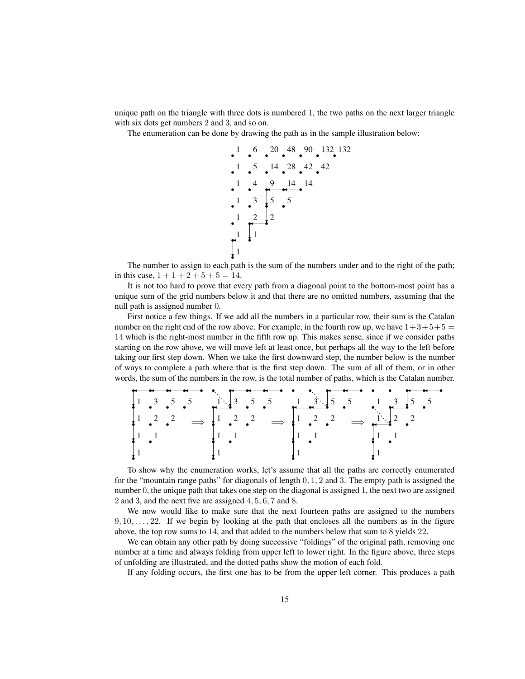unique path on the triangle with three dots is numbered 1, the two paths on the next larger triangle with six dots get numbers 2 and 3, and so on.

The enumeration can be done by drawing the path as in the sample illustration below:



The number to assign to each path is the sum of the numbers under and to the right of the path; in this case,  $1 + 1 + 2 + 5 + 5 = 14$ .

It is not too hard to prove that every path from a diagonal point to the bottom-most point has a unique sum of the grid numbers below it and that there are no omitted numbers, assuming that the null path is assigned number 0.

First notice a few things. If we add all the numbers in a particular row, their sum is the Catalan number on the right end of the row above. For example, in the fourth row up, we have  $1+3+5+5=$ 14 which is the right-most number in the fifth row up. This makes sense, since if we consider paths starting on the row above, we will move left at least once, but perhaps all the way to the left before taking our first step down. When we take the first downward step, the number below is the number of ways to complete a path where that is the first step down. The sum of all of them, or in other words, the sum of the numbers in the row, is the total number of paths, which is the Catalan number.

|  |  |  |  | $\downarrow$ 1 . 2 . 2 $\Rightarrow$ $\downarrow$ 1 . 2 . 2 $\Rightarrow$ $\downarrow$ 1 . 2 . 2 $\Rightarrow$ $\downarrow$ $\stackrel{1}{\longrightarrow}$ 2 |  |  |
|--|--|--|--|---------------------------------------------------------------------------------------------------------------------------------------------------------------|--|--|
|  |  |  |  |                                                                                                                                                               |  |  |
|  |  |  |  |                                                                                                                                                               |  |  |

To show why the enumeration works, let's assume that all the paths are correctly enumerated for the "mountain range paths" for diagonals of length  $0, 1, 2$  and 3. The empty path is assigned the number 0, the unique path that takes one step on the diagonal is assigned 1, the next two are assigned 2 and 3, and the next five are assigned 4, 5, 6, 7 and 8.

We now would like to make sure that the next fourteen paths are assigned to the numbers  $9, 10, \ldots, 22$ . If we begin by looking at the path that encloses all the numbers as in the figure above, the top row sums to 14, and that added to the numbers below that sum to 8 yields 22.

We can obtain any other path by doing successive "foldings" of the original path, removing one number at a time and always folding from upper left to lower right. In the figure above, three steps of unfolding are illustrated, and the dotted paths show the motion of each fold.

If any folding occurs, the first one has to be from the upper left corner. This produces a path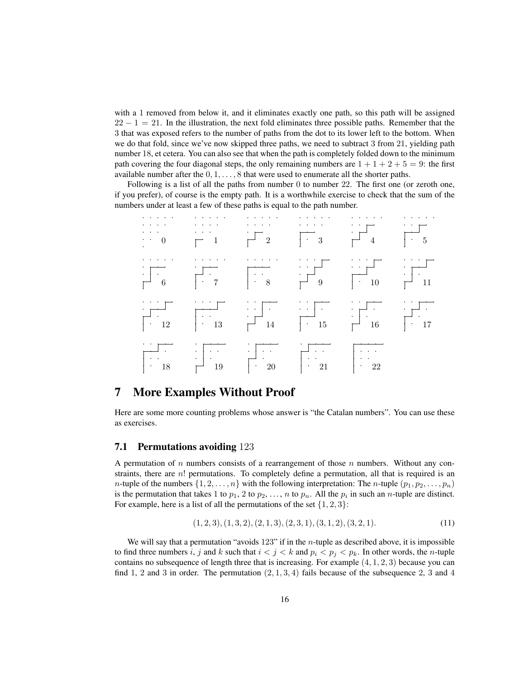with a 1 removed from below it, and it eliminates exactly one path, so this path will be assigned  $22 - 1 = 21$ . In the illustration, the next fold eliminates three possible paths. Remember that the 3 that was exposed refers to the number of paths from the dot to its lower left to the bottom. When we do that fold, since we've now skipped three paths, we need to subtract 3 from 21, yielding path number 18, et cetera. You can also see that when the path is completely folded down to the minimum path covering the four diagonal steps, the only remaining numbers are  $1 + 1 + 2 + 5 = 9$ : the first available number after the  $0, 1, \ldots, 8$  that were used to enumerate all the shorter paths.

Following is a list of all the paths from number 0 to number 22. The first one (or zeroth one, if you prefer), of course is the empty path. It is a worthwhile exercise to check that the sum of the numbers under at least a few of these paths is equal to the path number.



# 7 More Examples Without Proof

Here are some more counting problems whose answer is "the Catalan numbers". You can use these as exercises.

#### 7.1 Permutations avoiding 123

A permutation of n numbers consists of a rearrangement of those n numbers. Without any constraints, there are  $n!$  permutations. To completely define a permutation, all that is required is an *n*-tuple of the numbers  $\{1, 2, \ldots, n\}$  with the following interpretation: The *n*-tuple  $(p_1, p_2, \ldots, p_n)$ is the permutation that takes 1 to  $p_1$ , 2 to  $p_2$ , ..., n to  $p_n$ . All the  $p_i$  in such an n-tuple are distinct. For example, here is a list of all the permutations of the set  $\{1, 2, 3\}$ :

$$
(1,2,3), (1,3,2), (2,1,3), (2,3,1), (3,1,2), (3,2,1). \tag{11}
$$

We will say that a permutation "avoids  $123$ " if in the *n*-tuple as described above, it is impossible to find three numbers i, j and k such that  $i < j < k$  and  $p_i < p_j < p_k$ . In other words, the n-tuple contains no subsequence of length three that is increasing. For example  $(4, 1, 2, 3)$  because you can find 1, 2 and 3 in order. The permutation  $(2, 1, 3, 4)$  fails because of the subsequence 2, 3 and 4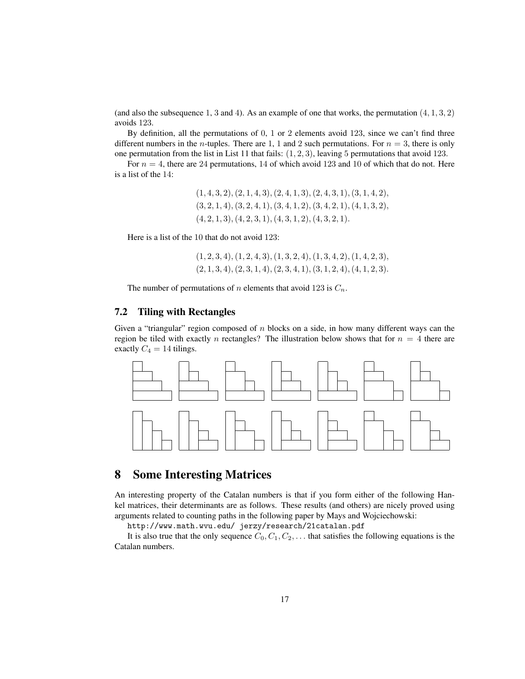(and also the subsequence 1, 3 and 4). As an example of one that works, the permutation  $(4, 1, 3, 2)$ avoids 123.

By definition, all the permutations of 0, 1 or 2 elements avoid 123, since we can't find three different numbers in the *n*-tuples. There are 1, 1 and 2 such permutations. For  $n = 3$ , there is only one permutation from the list in List 11 that fails:  $(1, 2, 3)$ , leaving 5 permutations that avoid 123.

For  $n = 4$ , there are 24 permutations, 14 of which avoid 123 and 10 of which that do not. Here is a list of the 14:

> $(1, 4, 3, 2), (2, 1, 4, 3), (2, 4, 1, 3), (2, 4, 3, 1), (3, 1, 4, 2),$  $(3, 2, 1, 4), (3, 2, 4, 1), (3, 4, 1, 2), (3, 4, 2, 1), (4, 1, 3, 2),$  $(4, 2, 1, 3), (4, 2, 3, 1), (4, 3, 1, 2), (4, 3, 2, 1).$

Here is a list of the 10 that do not avoid 123:

 $(1, 2, 3, 4), (1, 2, 4, 3), (1, 3, 2, 4), (1, 3, 4, 2), (1, 4, 2, 3),$  $(2, 1, 3, 4), (2, 3, 1, 4), (2, 3, 4, 1), (3, 1, 2, 4), (4, 1, 2, 3).$ 

The number of permutations of *n* elements that avoid 123 is  $C_n$ .

## 7.2 Tiling with Rectangles

Given a "triangular" region composed of  $n$  blocks on a side, in how many different ways can the region be tiled with exactly n rectangles? The illustration below shows that for  $n = 4$  there are exactly  $C_4 = 14$  tilings.



# 8 Some Interesting Matrices

An interesting property of the Catalan numbers is that if you form either of the following Hankel matrices, their determinants are as follows. These results (and others) are nicely proved using arguments related to counting paths in the following paper by Mays and Wojciechowski:

http://www.math.wvu.edu/ jerzy/research/21catalan.pdf

It is also true that the only sequence  $C_0, C_1, C_2, \ldots$  that satisfies the following equations is the Catalan numbers.